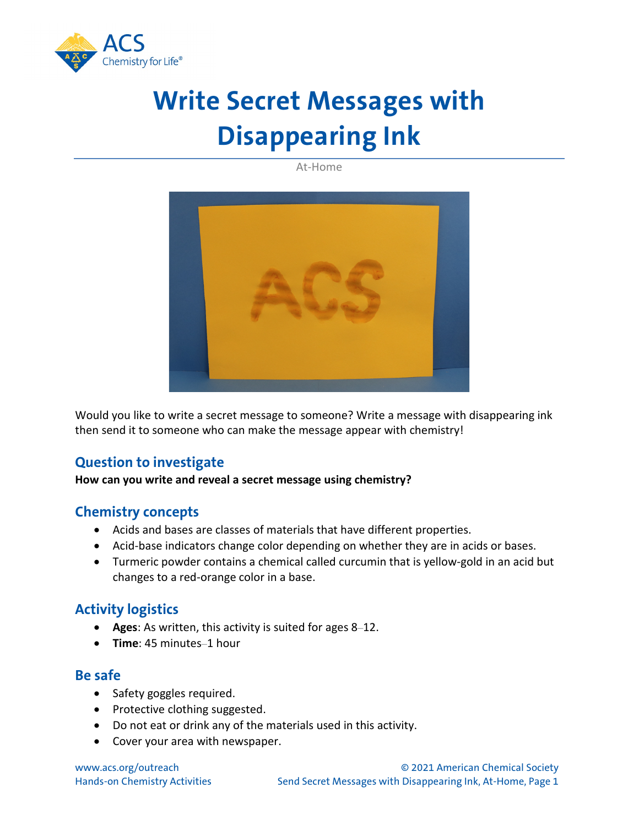

# **Write Secret Messages with Disappearing Ink**

At-Home



Would you like to write a secret message to someone? Write a message with disappearing ink then send it to someone who can make the message appear with chemistry!

# **Question to investigate**

**How can you write and reveal a secret message using chemistry?**

#### **Chemistry concepts**

- Acids and bases are classes of materials that have different properties.
- Acid-base indicators change color depending on whether they are in acids or bases.
- Turmeric powder contains a chemical called curcumin that is yellow-gold in an acid but changes to a red-orange color in a base.

# **Activity logistics**

- **Ages**: As written, this activity is suited for ages 8–12.
- **Time**: 45 minutes–1 hour

#### **Be safe**

- Safety goggles required.
- Protective clothing suggested.
- Do not eat or drink any of the materials used in this activity.
- Cover your area with newspaper.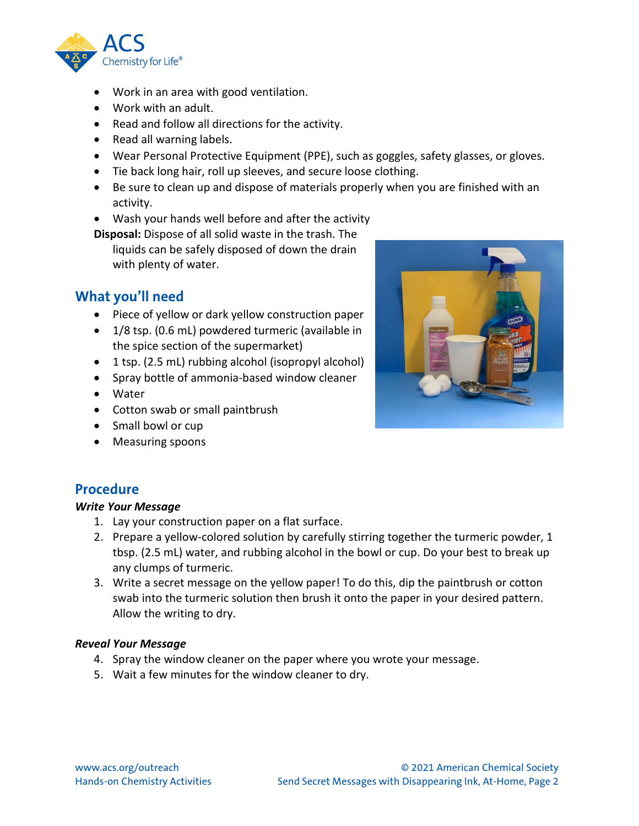

- Work in an area with good ventilation.
- Work with an adult.
- Read and follow all directions for the activity.
- Read all warning labels.
- Wear Personal Protective Equipment (PPE), such as goggles, safety glasses, or gloves.
- Tie back long hair, roll up sleeves, and secure loose clothing.
- Be sure to clean up and dispose of materials properly when you are finished with an activity.
- Wash your hands well before and after the activity

**Disposal:** Dispose of all solid waste in the trash. The

liquids can be safely disposed of down the drain with plenty of water.

## **What you'll need**

- Piece of yellow or dark yellow construction paper
- 1/8 tsp. (0.6 mL) powdered turmeric (available in the spice section of the supermarket)
- 1 tsp. (2.5 mL) rubbing alcohol (isopropyl alcohol)
- Spray bottle of ammonia-based window cleaner
- Water
- Cotton swab or small paintbrush
- Small bowl or cup
- Measuring spoons

## **Procedure**

#### *Write Your Message*

- 1. Lay your construction paper on a flat surface.
- 2. Prepare a yellow-colored solution by carefully stirring together the turmeric powder, 1 tbsp. (2.5 mL) water, and rubbing alcohol in the bowl or cup. Do your best to break up any clumps of turmeric.
- 3. Write a secret message on the yellow paper! To do this, dip the paintbrush or cotton swab into the turmeric solution then brush it onto the paper in your desired pattern. Allow the writing to dry.

#### *Reveal Your Message*

- 4. Spray the window cleaner on the paper where you wrote your message.
- 5. Wait a few minutes for the window cleaner to dry.